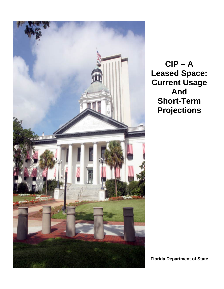

**Florida Department of State**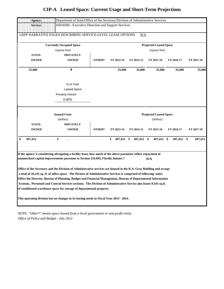| Agency:                       | Department of State/Office of the Secretary/Division of Administrative Services                                                                                                                                                                                                                                                                                                                                                                                                                                                                                                                                                                                                                                                                            |        |                  |            |                                                          |            |               |
|-------------------------------|------------------------------------------------------------------------------------------------------------------------------------------------------------------------------------------------------------------------------------------------------------------------------------------------------------------------------------------------------------------------------------------------------------------------------------------------------------------------------------------------------------------------------------------------------------------------------------------------------------------------------------------------------------------------------------------------------------------------------------------------------------|--------|------------------|------------|----------------------------------------------------------|------------|---------------|
| Service:                      | 45010200 - Executive Direction and Support Services                                                                                                                                                                                                                                                                                                                                                                                                                                                                                                                                                                                                                                                                                                        |        |                  |            |                                                          |            |               |
|                               | LRPP NARRATIVE PAGES DESCRIBING SERVICE-LEVEL LEASE OPTIONS                                                                                                                                                                                                                                                                                                                                                                                                                                                                                                                                                                                                                                                                                                |        |                  | N/A        |                                                          |            |               |
|                               | <b>Currently Occupied Space</b>                                                                                                                                                                                                                                                                                                                                                                                                                                                                                                                                                                                                                                                                                                                            |        |                  |            | <b>Projected Leased Space</b>                            |            |               |
|                               | (square feet)                                                                                                                                                                                                                                                                                                                                                                                                                                                                                                                                                                                                                                                                                                                                              |        |                  |            | (square feet)                                            |            |               |
| <b>STATE-</b>                 | PRIVATELY-                                                                                                                                                                                                                                                                                                                                                                                                                                                                                                                                                                                                                                                                                                                                                 |        |                  |            |                                                          |            |               |
| <b>OWNED</b>                  | <b>OWNED</b>                                                                                                                                                                                                                                                                                                                                                                                                                                                                                                                                                                                                                                                                                                                                               | OTHER* | FY 2013-14       | FY 2014-15 | FY 2015-16                                               | FY 2016-17 | FY 2017-18    |
| 35,686                        | $\bf{0}$                                                                                                                                                                                                                                                                                                                                                                                                                                                                                                                                                                                                                                                                                                                                                   |        | 35,686           | 35,686     | 35,686                                                   | 35,686     | 35,686        |
|                               | % of Total<br>Leased Space<br>Privately-Owned<br>0.00%                                                                                                                                                                                                                                                                                                                                                                                                                                                                                                                                                                                                                                                                                                     |        |                  |            |                                                          |            |               |
| <b>STATE-</b><br><b>OWNED</b> | <b>Annual Costs</b><br>(dollars)<br>PRIVATELY-<br><b>OWNED</b>                                                                                                                                                                                                                                                                                                                                                                                                                                                                                                                                                                                                                                                                                             | OTHER* | FY 2013-14       | FY 2014-15 | <b>Projected Leased Space</b><br>(dollars)<br>FY 2015-16 | FY 2016-17 | FY 2017-18    |
| \$<br>497,412                 | \$                                                                                                                                                                                                                                                                                                                                                                                                                                                                                                                                                                                                                                                                                                                                                         |        | \$<br>497,412 \$ | 497,412 \$ | 497,412 \$                                               | 497,412    | \$<br>497,412 |
|                               | If the agency is considering abrogating a facility lease, how much of the above payments reflect repayment of<br>unamortized capital improvements pursuant to Section 216.043, Florida Statutes?<br>Office of the Secretary and the Division of Administrative services are housed in the R.A. Gray Building and occupy<br>a total of 26,141 sq. ft. of office space. The Divison of Administrative Services is comprised of following units:<br>Office the Director, Bureau of Planning, Budget and Financial Management, Bureau of Departmental Information<br>Systems, Personnel and Central Services sections. The Division of Administrative Service also leases 9,545 sq.ft.<br>of conditioned warehouse space for storage of departmental property. |        |                  |            | N/A                                                      |            |               |
|                               | This operating division has no changes in its leasing needs in Fiscal Year 2013 - 2014.                                                                                                                                                                                                                                                                                                                                                                                                                                                                                                                                                                                                                                                                    |        |                  |            |                                                          |            |               |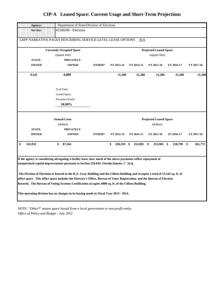| Agency:       | Department of State/Division of Elections                                                                                                                                                                                                                                                                                                                                                                                                                                                                                                                                     |        |               |               |                               |               |               |
|---------------|-------------------------------------------------------------------------------------------------------------------------------------------------------------------------------------------------------------------------------------------------------------------------------------------------------------------------------------------------------------------------------------------------------------------------------------------------------------------------------------------------------------------------------------------------------------------------------|--------|---------------|---------------|-------------------------------|---------------|---------------|
| Service:      | 45100200 - Elections                                                                                                                                                                                                                                                                                                                                                                                                                                                                                                                                                          |        |               |               |                               |               |               |
|               | LRPP NARRATIVE PAGES DESCRIBING SERVICE-LEVEL LEASE OPTIONS                                                                                                                                                                                                                                                                                                                                                                                                                                                                                                                   |        |               | N/A           |                               |               |               |
|               | <b>Currently Occupied Space</b>                                                                                                                                                                                                                                                                                                                                                                                                                                                                                                                                               |        |               |               | <b>Projected Leased Space</b> |               |               |
|               | (square feet)                                                                                                                                                                                                                                                                                                                                                                                                                                                                                                                                                                 |        |               |               | (square feet)                 |               |               |
| <b>STATE-</b> | PRIVATELY-                                                                                                                                                                                                                                                                                                                                                                                                                                                                                                                                                                    |        |               |               |                               |               |               |
| <b>OWNED</b>  | <b>OWNED</b>                                                                                                                                                                                                                                                                                                                                                                                                                                                                                                                                                                  | OTHER* | FY 2013-14    | FY 2014-15    | FY 2015-16                    | FY 2016-17    | FY 2017-18    |
| 9,542         | 4,000                                                                                                                                                                                                                                                                                                                                                                                                                                                                                                                                                                         |        | 21,280        | 21,280        | 21,280                        | 21,280        | 21,280        |
|               | % of Total                                                                                                                                                                                                                                                                                                                                                                                                                                                                                                                                                                    |        |               |               |                               |               |               |
|               | <b>Leased Space</b>                                                                                                                                                                                                                                                                                                                                                                                                                                                                                                                                                           |        |               |               |                               |               |               |
|               | Privately-Owned                                                                                                                                                                                                                                                                                                                                                                                                                                                                                                                                                               |        |               |               |                               |               |               |
|               | 18.80%                                                                                                                                                                                                                                                                                                                                                                                                                                                                                                                                                                        |        |               |               |                               |               |               |
|               | <b>Annual Costs</b>                                                                                                                                                                                                                                                                                                                                                                                                                                                                                                                                                           |        |               |               | <b>Projected Leased Space</b> |               |               |
|               | (dollars)                                                                                                                                                                                                                                                                                                                                                                                                                                                                                                                                                                     |        |               |               | (dollars)                     |               |               |
| <b>STATE-</b> | PRIVATELY-                                                                                                                                                                                                                                                                                                                                                                                                                                                                                                                                                                    |        |               |               |                               |               |               |
| <b>OWNED</b>  | <b>OWNED</b>                                                                                                                                                                                                                                                                                                                                                                                                                                                                                                                                                                  | OTHER* | FY 2013-14    | FY 2014-15    | FY 2015-16                    | FY 2016-17    | FY 2017-18    |
| \$<br>163,932 | \$<br>87,164                                                                                                                                                                                                                                                                                                                                                                                                                                                                                                                                                                  |        | \$<br>250,359 | \$<br>253,092 | 255,905<br>\$                 | \$<br>258,799 | \$<br>261,772 |
|               | If the agency is considering abrogating a facility lease, how much of the above payments reflect repayment of<br>unamortized capital improvements pursuant to Section 216.043, Florida. Statutes .? N/A<br>The Division of Elections is housed in the R.A. Gray Building and the Clifton Building and occupies a total of 13,542 sq. ft. of<br>office space. This office space includes the Director's Office, Bureau of Voter Registration, and the Bureau of Election<br>Records. The Bureau of Voting Systems Certification occupies 4000 sq. ft. of the Clifton Building. |        |               |               |                               |               |               |
|               | This operating division has no changes in its leasing needs in Fiscal Year 2013 - 2014.                                                                                                                                                                                                                                                                                                                                                                                                                                                                                       |        |               |               |                               |               |               |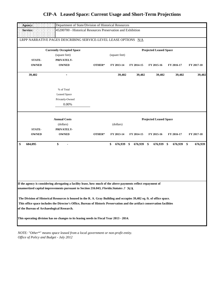| Agency:       |                                                                                                                            |        |                  |            |                               |            |                                                     |  |  |  |
|---------------|----------------------------------------------------------------------------------------------------------------------------|--------|------------------|------------|-------------------------------|------------|-----------------------------------------------------|--|--|--|
|               | Department of State/Division of Historical Resources                                                                       |        |                  |            |                               |            |                                                     |  |  |  |
| Service:      | 45200700 - Historical Resources Preservation and Exhibition                                                                |        |                  |            |                               |            |                                                     |  |  |  |
|               | LRPP NARRATIVE PAGES DESCRIBING SERVICE-LEVEL LEASE OPTIONS N/A                                                            |        |                  |            |                               |            |                                                     |  |  |  |
|               | <b>Currently Occupied Space</b>                                                                                            |        |                  |            | <b>Projected Leased Space</b> |            |                                                     |  |  |  |
|               | (square feet)                                                                                                              |        | (square feet)    |            |                               |            | FY 2017-18<br>39,402<br>FY 2017-18<br>\$<br>676,939 |  |  |  |
| <b>STATE-</b> | PRIVATELY-                                                                                                                 |        |                  |            |                               |            |                                                     |  |  |  |
| <b>OWNED</b>  | <b>OWNED</b>                                                                                                               | OTHER* | FY 2013-14       | FY 2014-15 | FY 2015-16                    | FY 2016-17 |                                                     |  |  |  |
| 39,402        | ۰                                                                                                                          |        | 39,402           | 39,402     | 39,402                        | 39,402     |                                                     |  |  |  |
|               | % of Total                                                                                                                 |        |                  |            |                               |            |                                                     |  |  |  |
|               | <b>Leased Space</b>                                                                                                        |        |                  |            |                               |            |                                                     |  |  |  |
|               | Privately-Owned                                                                                                            |        |                  |            |                               |            |                                                     |  |  |  |
|               | 0.00%                                                                                                                      |        |                  |            |                               |            |                                                     |  |  |  |
|               | <b>Annual Costs</b>                                                                                                        |        |                  |            | <b>Projected Leased Space</b> |            |                                                     |  |  |  |
|               | (dollars)                                                                                                                  |        | (dollars)        |            |                               |            |                                                     |  |  |  |
| STATE-        | PRIVATELY-                                                                                                                 |        |                  |            |                               |            |                                                     |  |  |  |
| <b>OWNED</b>  | <b>OWNED</b>                                                                                                               | OTHER* | FY 2013-14       | FY 2014-15 | FY 2015-16                    | FY 2016-17 |                                                     |  |  |  |
|               |                                                                                                                            |        |                  |            |                               |            |                                                     |  |  |  |
| \$<br>684,095 | \$                                                                                                                         |        | \$<br>676,939 \$ | 676,939 \$ | 676,939 \$                    | 676,939    |                                                     |  |  |  |
|               |                                                                                                                            |        |                  |            |                               |            |                                                     |  |  |  |
|               |                                                                                                                            |        |                  |            |                               |            |                                                     |  |  |  |
|               |                                                                                                                            |        |                  |            |                               |            |                                                     |  |  |  |
|               | If the agency is considering abrogating a facility lease, how much of the above payments reflect repayment of              |        |                  |            |                               |            |                                                     |  |  |  |
|               | unamortized capital improvements pursuant to Section 216.043, Florida. Statutes .? N/A                                     |        |                  |            |                               |            |                                                     |  |  |  |
|               | The Division of Historical Resources is housed in the R. A. Gray Building and occupies 39,402 sq. ft. of office space.     |        |                  |            |                               |            |                                                     |  |  |  |
|               | This office space includes the Director's Office, Bureau of Historic Preservation and the artifact conservation facilities |        |                  |            |                               |            |                                                     |  |  |  |
|               | of the Bureau of Archaeological Research.                                                                                  |        |                  |            |                               |            |                                                     |  |  |  |
|               | This operating division has no changes to its leasing needs in Fiscal Year 2013 - 2014.                                    |        |                  |            |                               |            |                                                     |  |  |  |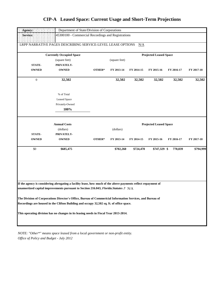| Agency:<br>Department of State/Division of Corporations |                                                                                                                                                                                                         |        |               |            |                               |            |            |  |
|---------------------------------------------------------|---------------------------------------------------------------------------------------------------------------------------------------------------------------------------------------------------------|--------|---------------|------------|-------------------------------|------------|------------|--|
| Service:                                                | 45300100 - Commercial Recordings and Registrations                                                                                                                                                      |        |               |            |                               |            |            |  |
|                                                         | LRPP NARRATIVE PAGES DESCRIBING SERVICE-LEVEL LEASE OPTIONS                                                                                                                                             |        |               | N/A        |                               |            |            |  |
|                                                         | <b>Currently Occupied Space</b>                                                                                                                                                                         |        |               |            | <b>Projected Leased Space</b> |            |            |  |
|                                                         | (square feet)                                                                                                                                                                                           |        | (square feet) |            |                               |            |            |  |
| STATE-                                                  | PRIVATELY-                                                                                                                                                                                              |        |               |            |                               |            |            |  |
| <b>OWNED</b>                                            | <b>OWNED</b>                                                                                                                                                                                            | OTHER* | FY 2013-14    | FY 2014-15 | FY 2015-16                    | FY 2016-17 | FY 2017-18 |  |
| $\boldsymbol{0}$                                        | 32,502                                                                                                                                                                                                  |        | 32,502        | 32,502     | 32,502                        | 32,502     | 32,502     |  |
|                                                         | % of Total                                                                                                                                                                                              |        |               |            |                               |            |            |  |
|                                                         | <b>Leased Space</b>                                                                                                                                                                                     |        |               |            |                               |            |            |  |
|                                                         | Privately-Owned                                                                                                                                                                                         |        |               |            |                               |            |            |  |
|                                                         | 100%                                                                                                                                                                                                    |        |               |            |                               |            |            |  |
|                                                         | <b>Annual Costs</b>                                                                                                                                                                                     |        |               |            | <b>Projected Leased Space</b> |            |            |  |
|                                                         | (dollars)                                                                                                                                                                                               |        | (dollars)     |            |                               |            |            |  |
| STATE-                                                  | PRIVATELY-                                                                                                                                                                                              |        |               |            |                               |            |            |  |
| <b>OWNED</b>                                            | <b>OWNED</b>                                                                                                                                                                                            | OTHER* | FY 2013-14    | FY 2014-15 | FY 2015-16                    | FY 2016-17 | FY 2017-18 |  |
| \$0                                                     | \$685,475                                                                                                                                                                                               |        | \$702,260     | \$724,470  | \$747,329 \$                  | 770,839    | \$794,999  |  |
|                                                         |                                                                                                                                                                                                         |        |               |            |                               |            |            |  |
|                                                         |                                                                                                                                                                                                         |        |               |            |                               |            |            |  |
|                                                         |                                                                                                                                                                                                         |        |               |            |                               |            |            |  |
|                                                         | If the agency is considering abrogating a facility lease, how much of the above payments reflect repayment of<br>unamortized capital improvements pursuant to Section 216.043, Florida. Statutes .? N/A |        |               |            |                               |            |            |  |
|                                                         | The Division of Corporations Director's Office, Bureau of Commericial Information Services, and Bureau of<br>Recordings are housed in the Clifton Building and occupy 32,502 sq. ft. of office space.   |        |               |            |                               |            |            |  |
|                                                         | This operating division has no changes in its leasing needs in Fiscal Year 2013-2014.                                                                                                                   |        |               |            |                               |            |            |  |
|                                                         |                                                                                                                                                                                                         |        |               |            |                               |            |            |  |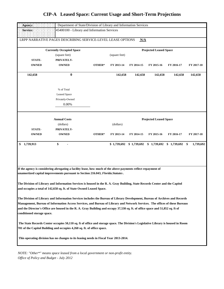| Agency:<br>Department of State/Division of Library and Information Services                                                                                  |                                                                                       |        |                                                                                                                                                                                                                                                                                                                                                                                                                                                                                                                                                                                                                                                                                                                                                                                                                                                                                                                                                                                                                                       |  |  |  |  |  |  |  |  |
|--------------------------------------------------------------------------------------------------------------------------------------------------------------|---------------------------------------------------------------------------------------|--------|---------------------------------------------------------------------------------------------------------------------------------------------------------------------------------------------------------------------------------------------------------------------------------------------------------------------------------------------------------------------------------------------------------------------------------------------------------------------------------------------------------------------------------------------------------------------------------------------------------------------------------------------------------------------------------------------------------------------------------------------------------------------------------------------------------------------------------------------------------------------------------------------------------------------------------------------------------------------------------------------------------------------------------------|--|--|--|--|--|--|--|--|
| 45400100 - Library and Information Services<br>Service:                                                                                                      |                                                                                       |        |                                                                                                                                                                                                                                                                                                                                                                                                                                                                                                                                                                                                                                                                                                                                                                                                                                                                                                                                                                                                                                       |  |  |  |  |  |  |  |  |
|                                                                                                                                                              | LRPP NARRATIVE PAGES DESCRIBING SERVICE-LEVEL LEASE OPTIONS                           |        |                                                                                                                                                                                                                                                                                                                                                                                                                                                                                                                                                                                                                                                                                                                                                                                                                                                                                                                                                                                                                                       |  |  |  |  |  |  |  |  |
|                                                                                                                                                              | <b>Currently Occupied Space</b>                                                       |        |                                                                                                                                                                                                                                                                                                                                                                                                                                                                                                                                                                                                                                                                                                                                                                                                                                                                                                                                                                                                                                       |  |  |  |  |  |  |  |  |
|                                                                                                                                                              | (square feet)                                                                         |        | N/A<br><b>Projected Leased Space</b><br>(square feet)<br>FY 2013-14<br>FY 2014-15<br>FY 2015-16<br>FY 2016-17<br>FY 2017-18<br>142,658<br>142,658<br>142,658<br>142,658<br>142,658<br><b>Projected Leased Space</b><br>(dollars)<br>FY 2013-14<br>FY 2014-15<br>FY 2015-16<br>FY 2016-17<br>FY 2017-18<br>\$1,739,692<br>\$1,739,692<br>$$1,739,692$ $$1,739,692$ $$$<br>1,739,692<br>If the agency is considering abrogating a facility lease, how much of the above payments reflect repayment of<br>The Division of Library and Information Services is housed in the R. A. Gray Building, State Records Center and the Capitol<br>The Division of Library and Information Services includes the Bureau of Library Development, Bureau of Archives and Records<br>Management, Bureau of Information Access Services, and Bureau of Library and Network Services. The offices of these Bureaus<br>The State Records Center occupies 50,110 sq. ft of office and storage space. The Division's Legislative Library is housed in Room |  |  |  |  |  |  |  |  |
| <b>STATE-</b>                                                                                                                                                | PRIVATELY-                                                                            |        |                                                                                                                                                                                                                                                                                                                                                                                                                                                                                                                                                                                                                                                                                                                                                                                                                                                                                                                                                                                                                                       |  |  |  |  |  |  |  |  |
| <b>OWNED</b>                                                                                                                                                 | <b>OWNED</b>                                                                          | OTHER* |                                                                                                                                                                                                                                                                                                                                                                                                                                                                                                                                                                                                                                                                                                                                                                                                                                                                                                                                                                                                                                       |  |  |  |  |  |  |  |  |
| 142,658                                                                                                                                                      | $\bf{0}$                                                                              |        |                                                                                                                                                                                                                                                                                                                                                                                                                                                                                                                                                                                                                                                                                                                                                                                                                                                                                                                                                                                                                                       |  |  |  |  |  |  |  |  |
|                                                                                                                                                              | % of Total                                                                            |        |                                                                                                                                                                                                                                                                                                                                                                                                                                                                                                                                                                                                                                                                                                                                                                                                                                                                                                                                                                                                                                       |  |  |  |  |  |  |  |  |
|                                                                                                                                                              | <b>Leased Space</b>                                                                   |        |                                                                                                                                                                                                                                                                                                                                                                                                                                                                                                                                                                                                                                                                                                                                                                                                                                                                                                                                                                                                                                       |  |  |  |  |  |  |  |  |
|                                                                                                                                                              | Privately-Owned                                                                       |        |                                                                                                                                                                                                                                                                                                                                                                                                                                                                                                                                                                                                                                                                                                                                                                                                                                                                                                                                                                                                                                       |  |  |  |  |  |  |  |  |
|                                                                                                                                                              | 0.00%                                                                                 |        |                                                                                                                                                                                                                                                                                                                                                                                                                                                                                                                                                                                                                                                                                                                                                                                                                                                                                                                                                                                                                                       |  |  |  |  |  |  |  |  |
|                                                                                                                                                              | <b>Annual Costs</b>                                                                   |        |                                                                                                                                                                                                                                                                                                                                                                                                                                                                                                                                                                                                                                                                                                                                                                                                                                                                                                                                                                                                                                       |  |  |  |  |  |  |  |  |
|                                                                                                                                                              | (dollars)                                                                             |        |                                                                                                                                                                                                                                                                                                                                                                                                                                                                                                                                                                                                                                                                                                                                                                                                                                                                                                                                                                                                                                       |  |  |  |  |  |  |  |  |
| <b>STATE-</b>                                                                                                                                                | PRIVATELY-                                                                            |        |                                                                                                                                                                                                                                                                                                                                                                                                                                                                                                                                                                                                                                                                                                                                                                                                                                                                                                                                                                                                                                       |  |  |  |  |  |  |  |  |
| <b>OWNED</b>                                                                                                                                                 | <b>OWNED</b>                                                                          | OTHER* |                                                                                                                                                                                                                                                                                                                                                                                                                                                                                                                                                                                                                                                                                                                                                                                                                                                                                                                                                                                                                                       |  |  |  |  |  |  |  |  |
| 1,739,913<br>\$                                                                                                                                              | \$                                                                                    |        |                                                                                                                                                                                                                                                                                                                                                                                                                                                                                                                                                                                                                                                                                                                                                                                                                                                                                                                                                                                                                                       |  |  |  |  |  |  |  |  |
|                                                                                                                                                              |                                                                                       |        |                                                                                                                                                                                                                                                                                                                                                                                                                                                                                                                                                                                                                                                                                                                                                                                                                                                                                                                                                                                                                                       |  |  |  |  |  |  |  |  |
|                                                                                                                                                              | unamortized capital improvements pursuant to Section 216.043, Florida. Statutes.      |        |                                                                                                                                                                                                                                                                                                                                                                                                                                                                                                                                                                                                                                                                                                                                                                                                                                                                                                                                                                                                                                       |  |  |  |  |  |  |  |  |
|                                                                                                                                                              |                                                                                       |        |                                                                                                                                                                                                                                                                                                                                                                                                                                                                                                                                                                                                                                                                                                                                                                                                                                                                                                                                                                                                                                       |  |  |  |  |  |  |  |  |
|                                                                                                                                                              | and occupies a total of 142,658 sq. ft. of State Owned Leased Space.                  |        |                                                                                                                                                                                                                                                                                                                                                                                                                                                                                                                                                                                                                                                                                                                                                                                                                                                                                                                                                                                                                                       |  |  |  |  |  |  |  |  |
|                                                                                                                                                              |                                                                                       |        |                                                                                                                                                                                                                                                                                                                                                                                                                                                                                                                                                                                                                                                                                                                                                                                                                                                                                                                                                                                                                                       |  |  |  |  |  |  |  |  |
|                                                                                                                                                              |                                                                                       |        |                                                                                                                                                                                                                                                                                                                                                                                                                                                                                                                                                                                                                                                                                                                                                                                                                                                                                                                                                                                                                                       |  |  |  |  |  |  |  |  |
|                                                                                                                                                              |                                                                                       |        |                                                                                                                                                                                                                                                                                                                                                                                                                                                                                                                                                                                                                                                                                                                                                                                                                                                                                                                                                                                                                                       |  |  |  |  |  |  |  |  |
| and the Director's Office are housed in the R. A. Gray Building and occupy 37,530 sq. ft. of office space and 51,852 sq. ft of<br>conditioned storage space. |                                                                                       |        |                                                                                                                                                                                                                                                                                                                                                                                                                                                                                                                                                                                                                                                                                                                                                                                                                                                                                                                                                                                                                                       |  |  |  |  |  |  |  |  |
|                                                                                                                                                              | 701 of the Capitol Building and occupies 4,260 sq. ft. of office space.               |        |                                                                                                                                                                                                                                                                                                                                                                                                                                                                                                                                                                                                                                                                                                                                                                                                                                                                                                                                                                                                                                       |  |  |  |  |  |  |  |  |
|                                                                                                                                                              | This operating division has no changes to its leasing needs in Fiscal Year 2013-2014. |        |                                                                                                                                                                                                                                                                                                                                                                                                                                                                                                                                                                                                                                                                                                                                                                                                                                                                                                                                                                                                                                       |  |  |  |  |  |  |  |  |